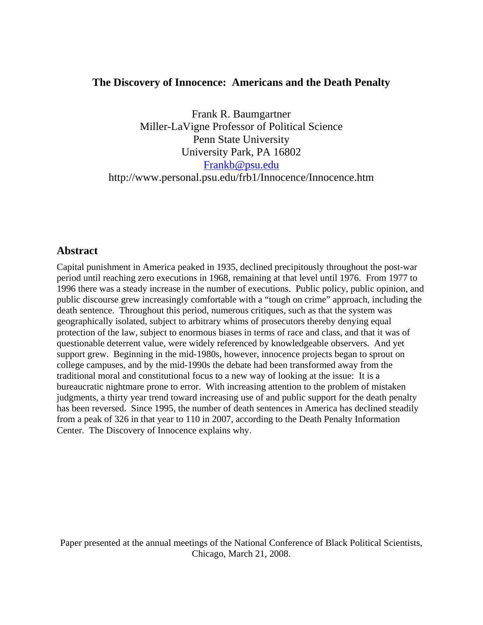# **The Discovery of Innocence: Americans and the Death Penalty**

Frank R. Baumgartner Miller-LaVigne Professor of Political Science Penn State University University Park, PA 16802 Frankb@psu.edu http://www.personal.psu.edu/frb1/Innocence/Innocence.htm

# **Abstract**

Capital punishment in America peaked in 1935, declined precipitously throughout the post-war period until reaching zero executions in 1968, remaining at that level until 1976. From 1977 to 1996 there was a steady increase in the number of executions. Public policy, public opinion, and public discourse grew increasingly comfortable with a "tough on crime" approach, including the death sentence. Throughout this period, numerous critiques, such as that the system was geographically isolated, subject to arbitrary whims of prosecutors thereby denying equal protection of the law, subject to enormous biases in terms of race and class, and that it was of questionable deterrent value, were widely referenced by knowledgeable observers. And yet support grew. Beginning in the mid-1980s, however, innocence projects began to sprout on college campuses, and by the mid-1990s the debate had been transformed away from the traditional moral and constitutional focus to a new way of looking at the issue: It is a bureaucratic nightmare prone to error. With increasing attention to the problem of mistaken judgments, a thirty year trend toward increasing use of and public support for the death penalty has been reversed. Since 1995, the number of death sentences in America has declined steadily from a peak of 326 in that year to 110 in 2007, according to the Death Penalty Information Center. The Discovery of Innocence explains why.

Paper presented at the annual meetings of the National Conference of Black Political Scientists, Chicago, March 21, 2008.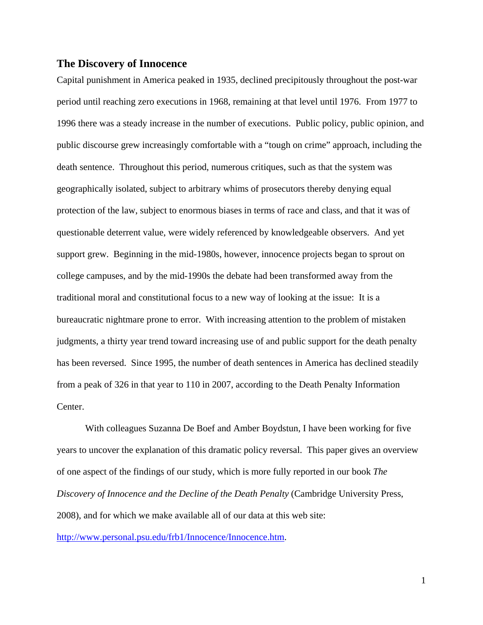## **The Discovery of Innocence**

Capital punishment in America peaked in 1935, declined precipitously throughout the post-war period until reaching zero executions in 1968, remaining at that level until 1976. From 1977 to 1996 there was a steady increase in the number of executions. Public policy, public opinion, and public discourse grew increasingly comfortable with a "tough on crime" approach, including the death sentence. Throughout this period, numerous critiques, such as that the system was geographically isolated, subject to arbitrary whims of prosecutors thereby denying equal protection of the law, subject to enormous biases in terms of race and class, and that it was of questionable deterrent value, were widely referenced by knowledgeable observers. And yet support grew. Beginning in the mid-1980s, however, innocence projects began to sprout on college campuses, and by the mid-1990s the debate had been transformed away from the traditional moral and constitutional focus to a new way of looking at the issue: It is a bureaucratic nightmare prone to error. With increasing attention to the problem of mistaken judgments, a thirty year trend toward increasing use of and public support for the death penalty has been reversed. Since 1995, the number of death sentences in America has declined steadily from a peak of 326 in that year to 110 in 2007, according to the Death Penalty Information Center.

With colleagues Suzanna De Boef and Amber Boydstun, I have been working for five years to uncover the explanation of this dramatic policy reversal. This paper gives an overview of one aspect of the findings of our study, which is more fully reported in our book *The Discovery of Innocence and the Decline of the Death Penalty* (Cambridge University Press, 2008), and for which we make available all of our data at this web site:

http://www.personal.psu.edu/frb1/Innocence/Innocence.htm.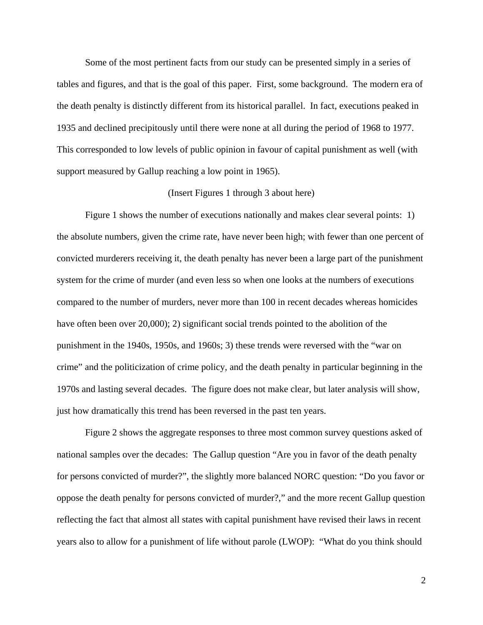Some of the most pertinent facts from our study can be presented simply in a series of tables and figures, and that is the goal of this paper. First, some background. The modern era of the death penalty is distinctly different from its historical parallel. In fact, executions peaked in 1935 and declined precipitously until there were none at all during the period of 1968 to 1977. This corresponded to low levels of public opinion in favour of capital punishment as well (with support measured by Gallup reaching a low point in 1965).

### (Insert Figures 1 through 3 about here)

Figure 1 shows the number of executions nationally and makes clear several points: 1) the absolute numbers, given the crime rate, have never been high; with fewer than one percent of convicted murderers receiving it, the death penalty has never been a large part of the punishment system for the crime of murder (and even less so when one looks at the numbers of executions compared to the number of murders, never more than 100 in recent decades whereas homicides have often been over 20,000); 2) significant social trends pointed to the abolition of the punishment in the 1940s, 1950s, and 1960s; 3) these trends were reversed with the "war on crime" and the politicization of crime policy, and the death penalty in particular beginning in the 1970s and lasting several decades. The figure does not make clear, but later analysis will show, just how dramatically this trend has been reversed in the past ten years.

Figure 2 shows the aggregate responses to three most common survey questions asked of national samples over the decades: The Gallup question "Are you in favor of the death penalty for persons convicted of murder?", the slightly more balanced NORC question: "Do you favor or oppose the death penalty for persons convicted of murder?," and the more recent Gallup question reflecting the fact that almost all states with capital punishment have revised their laws in recent years also to allow for a punishment of life without parole (LWOP): "What do you think should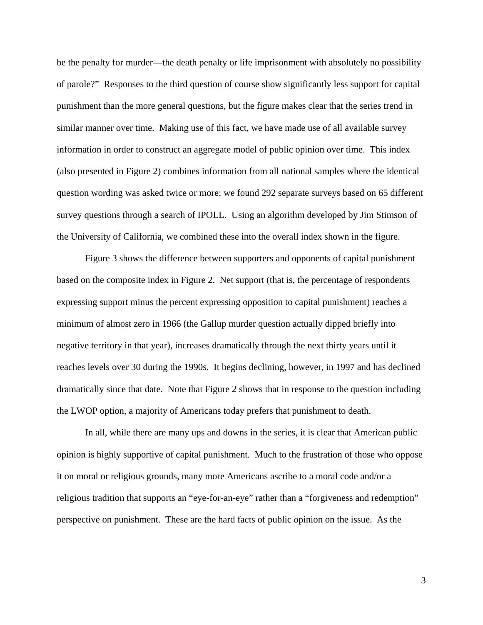be the penalty for murder—the death penalty or life imprisonment with absolutely no possibility of parole?" Responses to the third question of course show significantly less support for capital punishment than the more general questions, but the figure makes clear that the series trend in similar manner over time. Making use of this fact, we have made use of all available survey information in order to construct an aggregate model of public opinion over time. This index (also presented in Figure 2) combines information from all national samples where the identical question wording was asked twice or more; we found 292 separate surveys based on 65 different survey questions through a search of IPOLL. Using an algorithm developed by Jim Stimson of the University of California, we combined these into the overall index shown in the figure.

Figure 3 shows the difference between supporters and opponents of capital punishment based on the composite index in Figure 2. Net support (that is, the percentage of respondents expressing support minus the percent expressing opposition to capital punishment) reaches a minimum of almost zero in 1966 (the Gallup murder question actually dipped briefly into negative territory in that year), increases dramatically through the next thirty years until it reaches levels over 30 during the 1990s. It begins declining, however, in 1997 and has declined dramatically since that date. Note that Figure 2 shows that in response to the question including the LWOP option, a majority of Americans today prefers that punishment to death.

In all, while there are many ups and downs in the series, it is clear that American public opinion is highly supportive of capital punishment. Much to the frustration of those who oppose it on moral or religious grounds, many more Americans ascribe to a moral code and/or a religious tradition that supports an "eye-for-an-eye" rather than a "forgiveness and redemption" perspective on punishment. These are the hard facts of public opinion on the issue. As the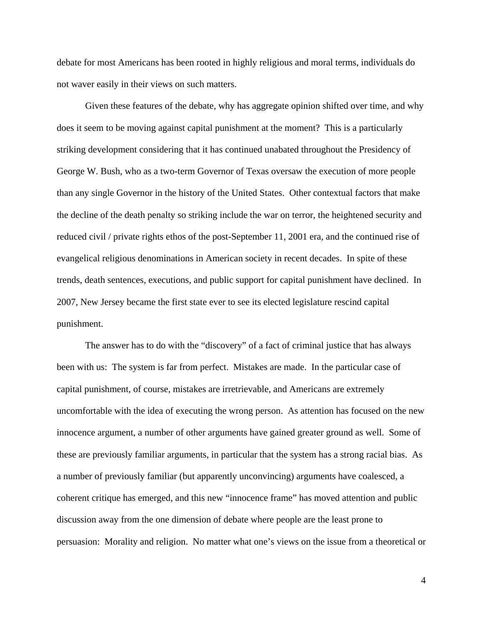debate for most Americans has been rooted in highly religious and moral terms, individuals do not waver easily in their views on such matters.

Given these features of the debate, why has aggregate opinion shifted over time, and why does it seem to be moving against capital punishment at the moment? This is a particularly striking development considering that it has continued unabated throughout the Presidency of George W. Bush, who as a two-term Governor of Texas oversaw the execution of more people than any single Governor in the history of the United States. Other contextual factors that make the decline of the death penalty so striking include the war on terror, the heightened security and reduced civil / private rights ethos of the post-September 11, 2001 era, and the continued rise of evangelical religious denominations in American society in recent decades. In spite of these trends, death sentences, executions, and public support for capital punishment have declined. In 2007, New Jersey became the first state ever to see its elected legislature rescind capital punishment.

The answer has to do with the "discovery" of a fact of criminal justice that has always been with us: The system is far from perfect. Mistakes are made. In the particular case of capital punishment, of course, mistakes are irretrievable, and Americans are extremely uncomfortable with the idea of executing the wrong person. As attention has focused on the new innocence argument, a number of other arguments have gained greater ground as well. Some of these are previously familiar arguments, in particular that the system has a strong racial bias. As a number of previously familiar (but apparently unconvincing) arguments have coalesced, a coherent critique has emerged, and this new "innocence frame" has moved attention and public discussion away from the one dimension of debate where people are the least prone to persuasion: Morality and religion. No matter what one's views on the issue from a theoretical or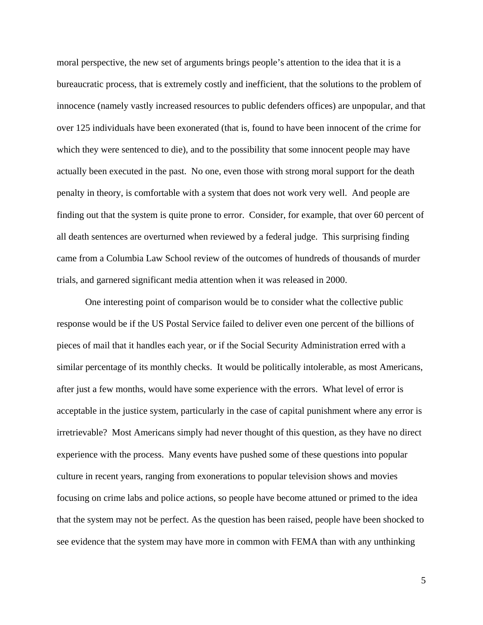moral perspective, the new set of arguments brings people's attention to the idea that it is a bureaucratic process, that is extremely costly and inefficient, that the solutions to the problem of innocence (namely vastly increased resources to public defenders offices) are unpopular, and that over 125 individuals have been exonerated (that is, found to have been innocent of the crime for which they were sentenced to die), and to the possibility that some innocent people may have actually been executed in the past. No one, even those with strong moral support for the death penalty in theory, is comfortable with a system that does not work very well. And people are finding out that the system is quite prone to error. Consider, for example, that over 60 percent of all death sentences are overturned when reviewed by a federal judge. This surprising finding came from a Columbia Law School review of the outcomes of hundreds of thousands of murder trials, and garnered significant media attention when it was released in 2000.

One interesting point of comparison would be to consider what the collective public response would be if the US Postal Service failed to deliver even one percent of the billions of pieces of mail that it handles each year, or if the Social Security Administration erred with a similar percentage of its monthly checks. It would be politically intolerable, as most Americans, after just a few months, would have some experience with the errors. What level of error is acceptable in the justice system, particularly in the case of capital punishment where any error is irretrievable? Most Americans simply had never thought of this question, as they have no direct experience with the process. Many events have pushed some of these questions into popular culture in recent years, ranging from exonerations to popular television shows and movies focusing on crime labs and police actions, so people have become attuned or primed to the idea that the system may not be perfect. As the question has been raised, people have been shocked to see evidence that the system may have more in common with FEMA than with any unthinking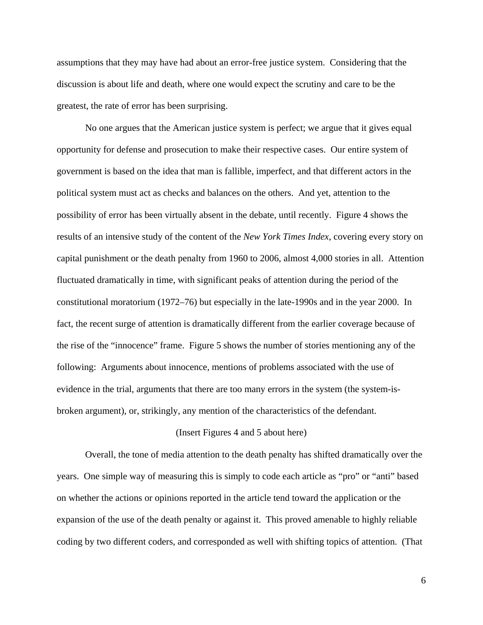assumptions that they may have had about an error-free justice system. Considering that the discussion is about life and death, where one would expect the scrutiny and care to be the greatest, the rate of error has been surprising.

No one argues that the American justice system is perfect; we argue that it gives equal opportunity for defense and prosecution to make their respective cases. Our entire system of government is based on the idea that man is fallible, imperfect, and that different actors in the political system must act as checks and balances on the others. And yet, attention to the possibility of error has been virtually absent in the debate, until recently. Figure 4 shows the results of an intensive study of the content of the *New York Times Index*, covering every story on capital punishment or the death penalty from 1960 to 2006, almost 4,000 stories in all. Attention fluctuated dramatically in time, with significant peaks of attention during the period of the constitutional moratorium (1972–76) but especially in the late-1990s and in the year 2000. In fact, the recent surge of attention is dramatically different from the earlier coverage because of the rise of the "innocence" frame. Figure 5 shows the number of stories mentioning any of the following: Arguments about innocence, mentions of problems associated with the use of evidence in the trial, arguments that there are too many errors in the system (the system-isbroken argument), or, strikingly, any mention of the characteristics of the defendant.

#### (Insert Figures 4 and 5 about here)

Overall, the tone of media attention to the death penalty has shifted dramatically over the years. One simple way of measuring this is simply to code each article as "pro" or "anti" based on whether the actions or opinions reported in the article tend toward the application or the expansion of the use of the death penalty or against it. This proved amenable to highly reliable coding by two different coders, and corresponded as well with shifting topics of attention. (That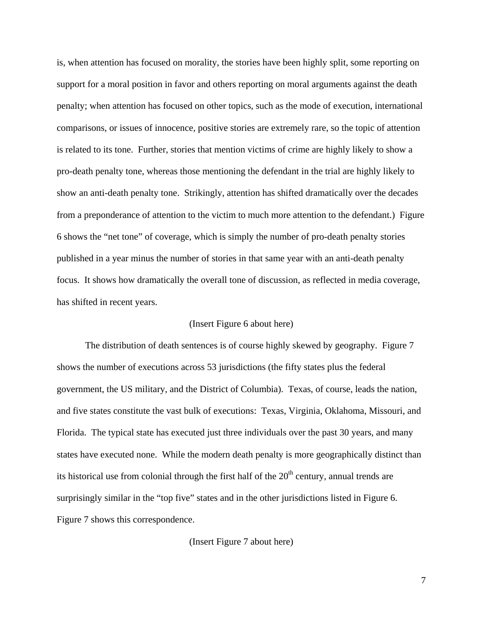is, when attention has focused on morality, the stories have been highly split, some reporting on support for a moral position in favor and others reporting on moral arguments against the death penalty; when attention has focused on other topics, such as the mode of execution, international comparisons, or issues of innocence, positive stories are extremely rare, so the topic of attention is related to its tone. Further, stories that mention victims of crime are highly likely to show a pro-death penalty tone, whereas those mentioning the defendant in the trial are highly likely to show an anti-death penalty tone. Strikingly, attention has shifted dramatically over the decades from a preponderance of attention to the victim to much more attention to the defendant.) Figure 6 shows the "net tone" of coverage, which is simply the number of pro-death penalty stories published in a year minus the number of stories in that same year with an anti-death penalty focus. It shows how dramatically the overall tone of discussion, as reflected in media coverage, has shifted in recent years.

## (Insert Figure 6 about here)

The distribution of death sentences is of course highly skewed by geography. Figure 7 shows the number of executions across 53 jurisdictions (the fifty states plus the federal government, the US military, and the District of Columbia). Texas, of course, leads the nation, and five states constitute the vast bulk of executions: Texas, Virginia, Oklahoma, Missouri, and Florida. The typical state has executed just three individuals over the past 30 years, and many states have executed none. While the modern death penalty is more geographically distinct than its historical use from colonial through the first half of the  $20<sup>th</sup>$  century, annual trends are surprisingly similar in the "top five" states and in the other jurisdictions listed in Figure 6. Figure 7 shows this correspondence.

(Insert Figure 7 about here)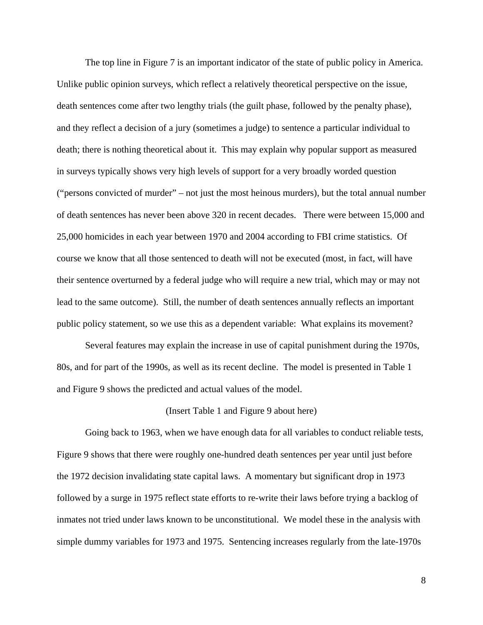The top line in Figure 7 is an important indicator of the state of public policy in America. Unlike public opinion surveys, which reflect a relatively theoretical perspective on the issue, death sentences come after two lengthy trials (the guilt phase, followed by the penalty phase), and they reflect a decision of a jury (sometimes a judge) to sentence a particular individual to death; there is nothing theoretical about it. This may explain why popular support as measured in surveys typically shows very high levels of support for a very broadly worded question ("persons convicted of murder" – not just the most heinous murders), but the total annual number of death sentences has never been above 320 in recent decades. There were between 15,000 and 25,000 homicides in each year between 1970 and 2004 according to FBI crime statistics. Of course we know that all those sentenced to death will not be executed (most, in fact, will have their sentence overturned by a federal judge who will require a new trial, which may or may not lead to the same outcome). Still, the number of death sentences annually reflects an important public policy statement, so we use this as a dependent variable: What explains its movement?

Several features may explain the increase in use of capital punishment during the 1970s, 80s, and for part of the 1990s, as well as its recent decline. The model is presented in Table 1 and Figure 9 shows the predicted and actual values of the model.

#### (Insert Table 1 and Figure 9 about here)

Going back to 1963, when we have enough data for all variables to conduct reliable tests, Figure 9 shows that there were roughly one-hundred death sentences per year until just before the 1972 decision invalidating state capital laws. A momentary but significant drop in 1973 followed by a surge in 1975 reflect state efforts to re-write their laws before trying a backlog of inmates not tried under laws known to be unconstitutional. We model these in the analysis with simple dummy variables for 1973 and 1975. Sentencing increases regularly from the late-1970s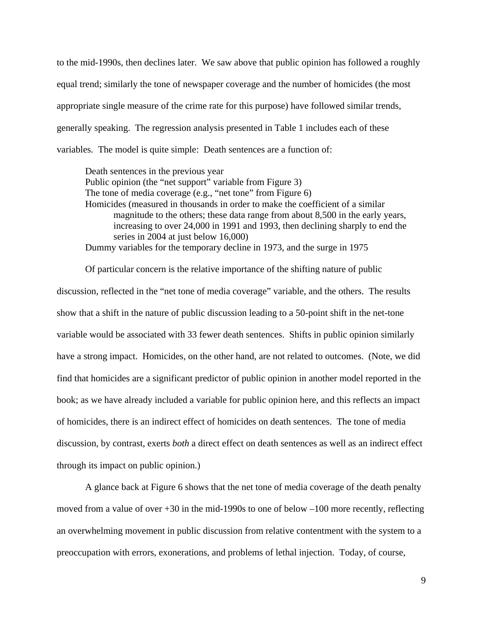to the mid-1990s, then declines later. We saw above that public opinion has followed a roughly equal trend; similarly the tone of newspaper coverage and the number of homicides (the most appropriate single measure of the crime rate for this purpose) have followed similar trends, generally speaking. The regression analysis presented in Table 1 includes each of these variables. The model is quite simple: Death sentences are a function of:

Death sentences in the previous year Public opinion (the "net support" variable from Figure 3) The tone of media coverage (e.g., "net tone" from Figure 6) Homicides (measured in thousands in order to make the coefficient of a similar magnitude to the others; these data range from about 8,500 in the early years, increasing to over 24,000 in 1991 and 1993, then declining sharply to end the series in 2004 at just below 16,000) Dummy variables for the temporary decline in 1973, and the surge in 1975

Of particular concern is the relative importance of the shifting nature of public discussion, reflected in the "net tone of media coverage" variable, and the others. The results show that a shift in the nature of public discussion leading to a 50-point shift in the net-tone variable would be associated with 33 fewer death sentences. Shifts in public opinion similarly have a strong impact. Homicides, on the other hand, are not related to outcomes. (Note, we did find that homicides are a significant predictor of public opinion in another model reported in the book; as we have already included a variable for public opinion here, and this reflects an impact of homicides, there is an indirect effect of homicides on death sentences. The tone of media discussion, by contrast, exerts *both* a direct effect on death sentences as well as an indirect effect through its impact on public opinion.)

A glance back at Figure 6 shows that the net tone of media coverage of the death penalty moved from a value of over  $+30$  in the mid-1990s to one of below  $-100$  more recently, reflecting an overwhelming movement in public discussion from relative contentment with the system to a preoccupation with errors, exonerations, and problems of lethal injection. Today, of course,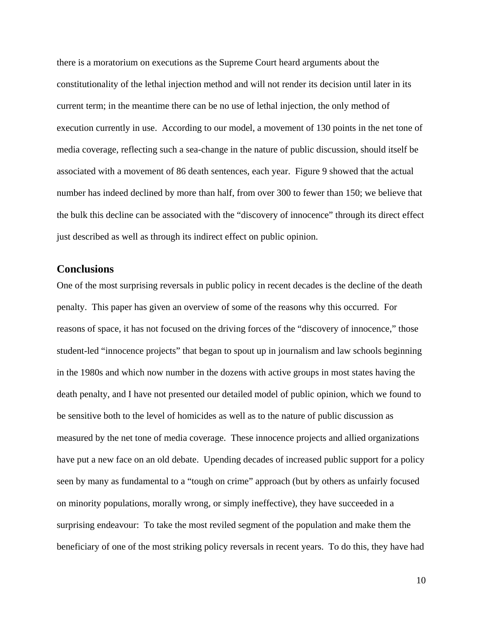there is a moratorium on executions as the Supreme Court heard arguments about the constitutionality of the lethal injection method and will not render its decision until later in its current term; in the meantime there can be no use of lethal injection, the only method of execution currently in use. According to our model, a movement of 130 points in the net tone of media coverage, reflecting such a sea-change in the nature of public discussion, should itself be associated with a movement of 86 death sentences, each year. Figure 9 showed that the actual number has indeed declined by more than half, from over 300 to fewer than 150; we believe that the bulk this decline can be associated with the "discovery of innocence" through its direct effect just described as well as through its indirect effect on public opinion.

## **Conclusions**

One of the most surprising reversals in public policy in recent decades is the decline of the death penalty. This paper has given an overview of some of the reasons why this occurred. For reasons of space, it has not focused on the driving forces of the "discovery of innocence," those student-led "innocence projects" that began to spout up in journalism and law schools beginning in the 1980s and which now number in the dozens with active groups in most states having the death penalty, and I have not presented our detailed model of public opinion, which we found to be sensitive both to the level of homicides as well as to the nature of public discussion as measured by the net tone of media coverage. These innocence projects and allied organizations have put a new face on an old debate. Upending decades of increased public support for a policy seen by many as fundamental to a "tough on crime" approach (but by others as unfairly focused on minority populations, morally wrong, or simply ineffective), they have succeeded in a surprising endeavour: To take the most reviled segment of the population and make them the beneficiary of one of the most striking policy reversals in recent years. To do this, they have had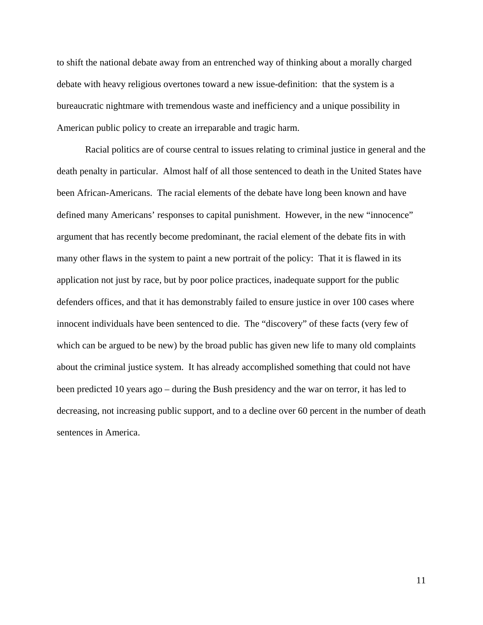to shift the national debate away from an entrenched way of thinking about a morally charged debate with heavy religious overtones toward a new issue-definition: that the system is a bureaucratic nightmare with tremendous waste and inefficiency and a unique possibility in American public policy to create an irreparable and tragic harm.

Racial politics are of course central to issues relating to criminal justice in general and the death penalty in particular. Almost half of all those sentenced to death in the United States have been African-Americans. The racial elements of the debate have long been known and have defined many Americans' responses to capital punishment. However, in the new "innocence" argument that has recently become predominant, the racial element of the debate fits in with many other flaws in the system to paint a new portrait of the policy: That it is flawed in its application not just by race, but by poor police practices, inadequate support for the public defenders offices, and that it has demonstrably failed to ensure justice in over 100 cases where innocent individuals have been sentenced to die. The "discovery" of these facts (very few of which can be argued to be new) by the broad public has given new life to many old complaints about the criminal justice system. It has already accomplished something that could not have been predicted 10 years ago – during the Bush presidency and the war on terror, it has led to decreasing, not increasing public support, and to a decline over 60 percent in the number of death sentences in America.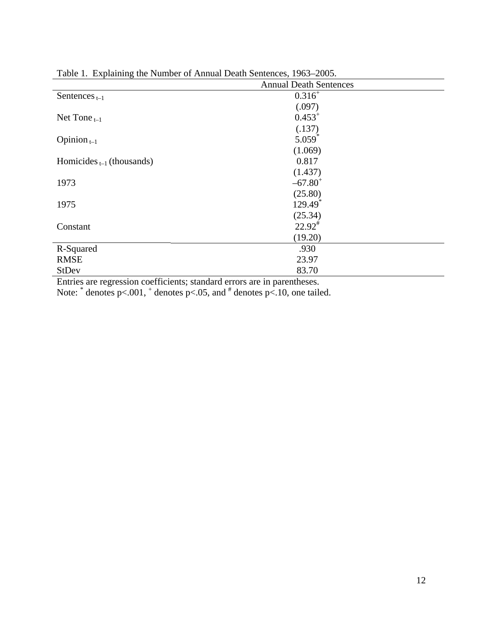| Tuble 1. Explaining the Funner of Funnant Death Schences, 1705–2005. | <b>Annual Death Sentences</b> |
|----------------------------------------------------------------------|-------------------------------|
|                                                                      |                               |
| Sentences $_{t-1}$                                                   | $0.316^{+}$                   |
|                                                                      | (.097)                        |
| Net Tone $_{t-1}$                                                    | $0.453^{+}$                   |
|                                                                      | (.137)                        |
| Opinion $_{t-1}$                                                     | $5.059$ <sup>*</sup>          |
|                                                                      | (1.069)                       |
| Homicides $_{t-1}$ (thousands)                                       | 0.817                         |
|                                                                      | (1.437)                       |
| 1973                                                                 | $-67.80$ <sup>+</sup>         |
|                                                                      | (25.80)                       |
| 1975                                                                 | $129.49$ <sup>*</sup>         |
|                                                                      | (25.34)                       |
| Constant                                                             | $22.92^{\text{*}}$            |
|                                                                      | (19.20)                       |
| R-Squared                                                            | .930                          |
| <b>RMSE</b>                                                          | 23.97                         |
| <b>StDev</b>                                                         | 83.70                         |

Table 1. Explaining the Number of Annual Death Sentences, 1963–2005.

Entries are regression coefficients; standard errors are in parentheses.

Note:  $*$  denotes p<.001,  $*$  denotes p<.05, and  $*$  denotes p<.10, one tailed.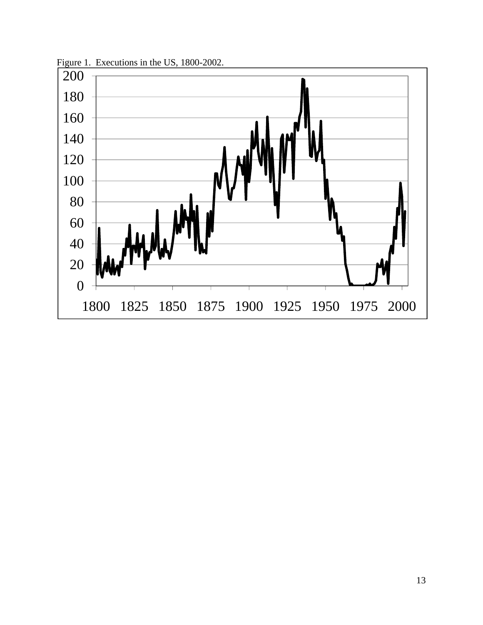

Figure 1. Executions in the US, 1800-2002.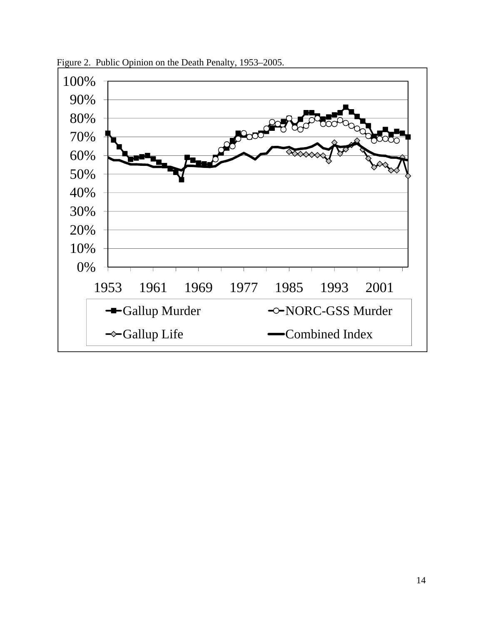

Figure 2. Public Opinion on the Death Penalty, 1953–2005.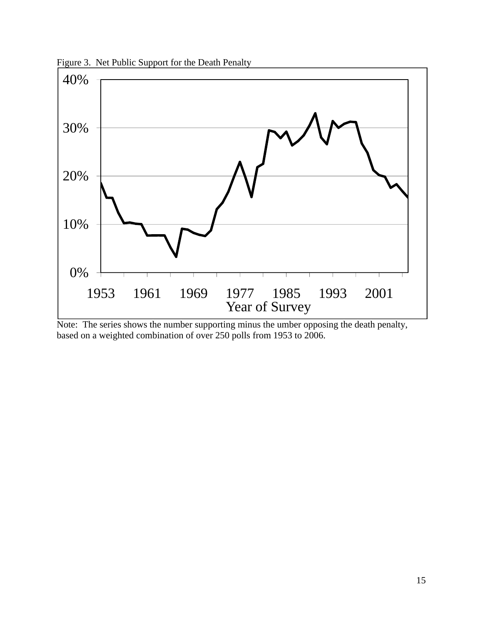

Figure 3. Net Public Support for the Death Penalty

Note: The series shows the number supporting minus the umber opposing the death penalty, based on a weighted combination of over 250 polls from 1953 to 2006.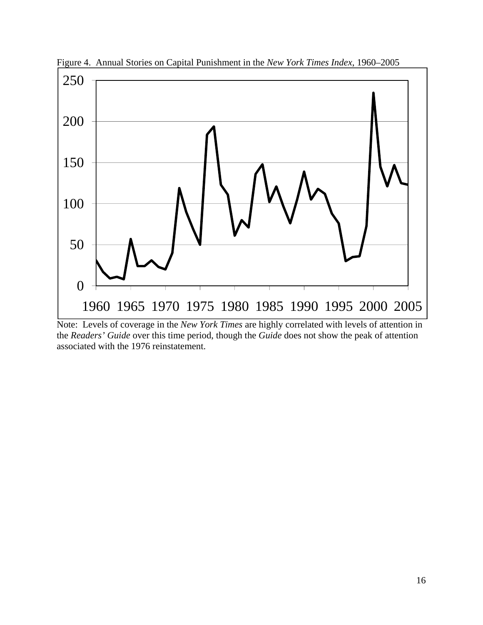

Figure 4. Annual Stories on Capital Punishment in the *New York Times Index*, 1960–2005

Note: Levels of coverage in the *New York Times* are highly correlated with levels of attention in the *Readers' Guide* over this time period, though the *Guide* does not show the peak of attention associated with the 1976 reinstatement.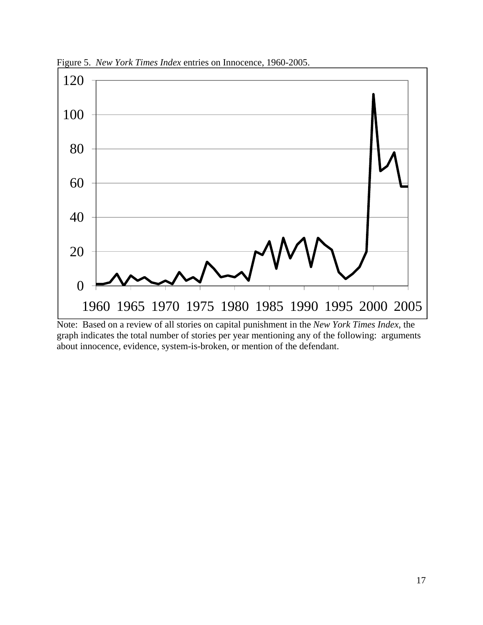

Figure 5. *New York Times Index* entries on Innocence, 1960-2005.

Note: Based on a review of all stories on capital punishment in the *New York Times Index*, the graph indicates the total number of stories per year mentioning any of the following: arguments about innocence, evidence, system-is-broken, or mention of the defendant.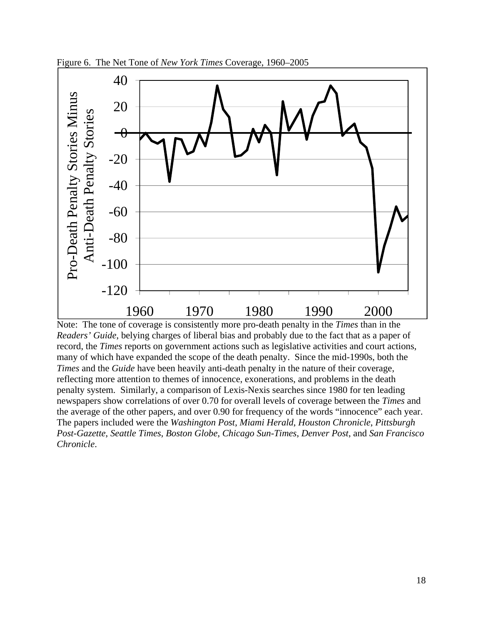

Figure 6. The Net Tone of *New York Times* Coverage, 1960–2005

Note: The tone of coverage is consistently more pro-death penalty in the *Times* than in the *Readers' Guide*, belying charges of liberal bias and probably due to the fact that as a paper of record, the *Times* reports on government actions such as legislative activities and court actions, many of which have expanded the scope of the death penalty. Since the mid-1990s, both the *Times* and the *Guide* have been heavily anti-death penalty in the nature of their coverage, reflecting more attention to themes of innocence, exonerations, and problems in the death penalty system. Similarly, a comparison of Lexis-Nexis searches since 1980 for ten leading newspapers show correlations of over 0.70 for overall levels of coverage between the *Times* and the average of the other papers, and over 0.90 for frequency of the words "innocence" each year. The papers included were the *Washington Post*, *Miami Herald*, *Houston Chronicle*, *Pittsburgh Post-Gazette*, *Seattle Times*, *Boston Globe*, *Chicago Sun-Times*, *Denver Post*, and *San Francisco Chronicle*.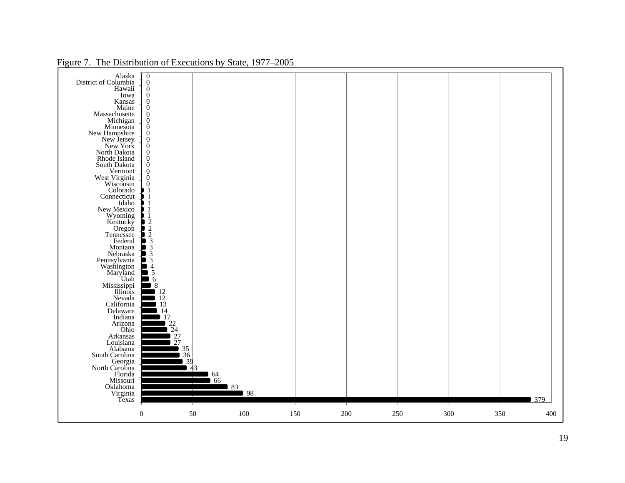|                  | Alaska<br>District of Columbia<br>Hawaii<br>Iowa<br>Kansas<br>Maine<br>Massachusetts<br>Massachuseus<br>Michigan<br>Minnesota<br>New York<br>New York<br>North Dakota<br>Rhode Island<br>South Dakota<br>Vermont<br>Vermont<br>West Virginia<br>Wisconsin<br>Colorado<br>Connecticut<br>Idaho<br>New Mexico<br>Wyoming<br>Kentucky<br>Oregon<br>Tennessee<br>Federal<br>Montana<br>Montana<br>Mebraska<br>Pennsylvania<br>Washington<br>Mississippi<br>Ilinois<br>Mississippi<br>Mississippi<br>Mississippi<br>Mississippi<br>Nevada<br>California<br>Delaware<br>Indiana<br>Arizona<br>Ohio<br>Arkansas<br>Louisiana<br>Alabama<br>South Carolina<br>Georgia<br>North Carolina<br>Florida<br>Missouri<br>Oklahoma<br>Virginia<br>Texas                                     |
|------------------|-----------------------------------------------------------------------------------------------------------------------------------------------------------------------------------------------------------------------------------------------------------------------------------------------------------------------------------------------------------------------------------------------------------------------------------------------------------------------------------------------------------------------------------------------------------------------------------------------------------------------------------------------------------------------------------------------------------------------------------------------------------------------------|
| $\boldsymbol{0}$ | $\frac{0}{0}$<br>$\boldsymbol{0}$<br>$\overline{0}$<br>$\boldsymbol{0}$<br>$\boldsymbol{0}$<br>$\overline{0}$<br>$\boldsymbol{0}$<br>$\begin{smallmatrix} 0\\0\\0 \end{smallmatrix}$<br>$\boldsymbol{0}$<br>$\overline{0}$<br>$\boldsymbol{0}$<br>$\boldsymbol{0}$<br>$\overline{0}$<br>$\boldsymbol{0}$<br>$\frac{1}{2}$<br>$\frac{1}{2}$<br>$\frac{1}{2}$<br>$\frac{1}{2}$<br>$\frac{1}{2}$<br>$\frac{1}{2}$<br>$\frac{1}{2}$<br>$\frac{1}{2}$<br>$\frac{1}{2}$<br>$\frac{1}{2}$<br>$\frac{1}{2}$<br>$\frac{1}{2}$<br>$\frac{1}{2}$<br>$\frac{1}{2}$<br>$\frac{1}{2}$<br>$\frac{1}{2}$<br>$\frac{1}{2}$<br>$\frac{1}{4}$<br>$\frac{1}{5}$<br>$\frac{1}{6}$<br>$\,8\,$<br>$\begin{bmatrix} 12 \\ 12 \\ 13 \\ 14 \end{bmatrix}$<br>17<br>$\frac{22}{24}$<br>$\frac{27}{27}$ |
| $50\,$           | $\begin{array}{c} 35 \\ 36 \\ 39 \\ 43 \end{array}$<br>$rac{64}{66}$                                                                                                                                                                                                                                                                                                                                                                                                                                                                                                                                                                                                                                                                                                        |
| 100              | 83<br>98                                                                                                                                                                                                                                                                                                                                                                                                                                                                                                                                                                                                                                                                                                                                                                    |
| 150              |                                                                                                                                                                                                                                                                                                                                                                                                                                                                                                                                                                                                                                                                                                                                                                             |
| 200              |                                                                                                                                                                                                                                                                                                                                                                                                                                                                                                                                                                                                                                                                                                                                                                             |
| 250              |                                                                                                                                                                                                                                                                                                                                                                                                                                                                                                                                                                                                                                                                                                                                                                             |
| 300              |                                                                                                                                                                                                                                                                                                                                                                                                                                                                                                                                                                                                                                                                                                                                                                             |
| 350              |                                                                                                                                                                                                                                                                                                                                                                                                                                                                                                                                                                                                                                                                                                                                                                             |
| 400              | 379                                                                                                                                                                                                                                                                                                                                                                                                                                                                                                                                                                                                                                                                                                                                                                         |

# Figure 7. The Distribution of Executions by State, 1977–2005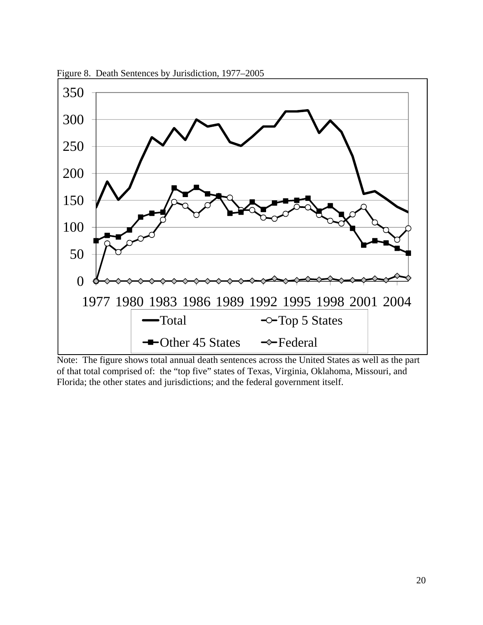

Figure 8. Death Sentences by Jurisdiction, 1977–2005

Note: The figure shows total annual death sentences across the United States as well as the part of that total comprised of: the "top five" states of Texas, Virginia, Oklahoma, Missouri, and Florida; the other states and jurisdictions; and the federal government itself.